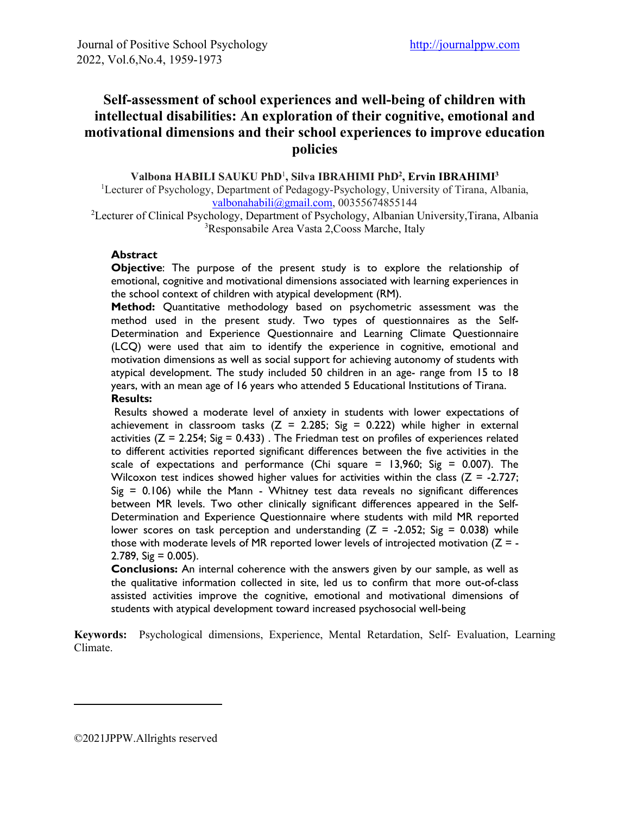# **Self-assessment of school experiences and well-being of children with intellectual disabilities: An exploration of their cognitive, emotional and motivational dimensions and their school experiences to improve education policies**

#### **Valbona HABILI SAUKU PhD**<sup>1</sup> **, Silva IBRAHIMI PhD2 , Ervin IBRAHIMI3**

<sup>1</sup>Lecturer of Psychology, Department of Pedagogy-Psychology, University of Tirana, Albania, [valbonahabili@gmail.com,](mailto:valbonahabili@gmail.com) 00355674855144

2 Lecturer of Clinical Psychology, Department of Psychology, Albanian University,Tirana, Albania 3 Responsabile Area Vasta 2,Cooss Marche, Italy

#### **Abstract**

**Objective**: The purpose of the present study is to explore the relationship of emotional, cognitive and motivational dimensions associated with learning experiences in the school context of children with atypical development (RM).

**Method:** Quantitative methodology based on psychometric assessment was the method used in the present study. Two types of questionnaires as the Self-Determination and Experience Questionnaire and Learning Climate Questionnaire (LCQ) were used that aim to identify the experience in cognitive, emotional and motivation dimensions as well as social support for achieving autonomy of students with atypical development. The study included 50 children in an age- range from 15 to 18 years, with an mean age of 16 years who attended 5 Educational Institutions of Tirana. **Results:**

Results showed a moderate level of anxiety in students with lower expectations of achievement in classroom tasks ( $Z = 2.285$ ; Sig = 0.222) while higher in external activities ( $Z = 2.254$ ; Sig = 0.433). The Friedman test on profiles of experiences related to different activities reported significant differences between the five activities in the scale of expectations and performance (Chi square  $= 13,960$ ; Sig  $= 0.007$ ). The Wilcoxon test indices showed higher values for activities within the class ( $Z = -2.727$ ;  $Sig = 0.106$ ) while the Mann - Whitney test data reveals no significant differences between MR levels. Two other clinically significant differences appeared in the Self-Determination and Experience Questionnaire where students with mild MR reported lower scores on task perception and understanding  $(Z = -2.052; Sig = 0.038)$  while those with moderate levels of MR reported lower levels of introjected motivation  $(Z = 2.789.$  Sig = 0.005).

**Conclusions:** An internal coherence with the answers given by our sample, as well as the qualitative information collected in site, led us to confirm that more out-of-class assisted activities improve the cognitive, emotional and motivational dimensions of students with atypical development toward increased psychosocial well-being

**Keywords:** Psychological dimensions, Experience, Mental Retardation, Self- Evaluation, Learning Climate.

<sup>©2021</sup>JPPW.Allrights reserved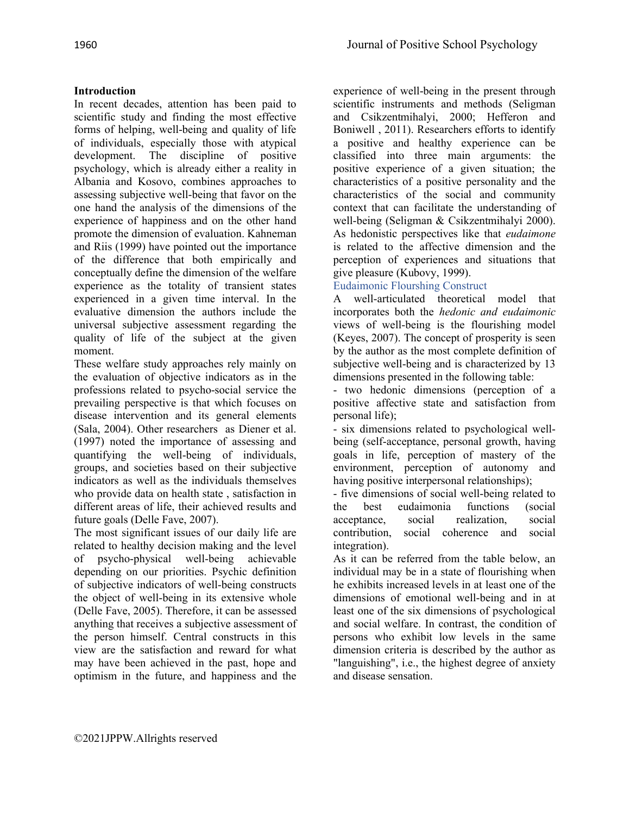# **Introduction**

In recent decades, attention has been paid to scientific study and finding the most effective forms of helping, well-being and quality of life of individuals, especially those with atypical development. The discipline of positive psychology, which is already either a reality in Albania and Kosovo, combines approaches to assessing subjective well-being that favor on the one hand the analysis of the dimensions of the experience of happiness and on the other hand promote the dimension of evaluation. Kahneman and Riis (1999) have pointed out the importance of the difference that both empirically and conceptually define the dimension of the welfare experience as the totality of transient states experienced in a given time interval. In the evaluative dimension the authors include the universal subjective assessment regarding the quality of life of the subject at the given moment.

These welfare study approaches rely mainly on the evaluation of objective indicators as in the professions related to psycho-social service the prevailing perspective is that which focuses on disease intervention and its general elements (Sala, 2004). Other researchers as Diener et al. (1997) noted the importance of assessing and quantifying the well-being of individuals, groups, and societies based on their subjective indicators as well as the individuals themselves who provide data on health state , satisfaction in different areas of life, their achieved results and future goals (Delle Fave, 2007).

The most significant issues of our daily life are related to healthy decision making and the level of psycho-physical well-being achievable depending on our priorities. Psychic definition of subjective indicators of well-being constructs the object of well-being in its extensive whole (Delle Fave, 2005). Therefore, it can be assessed anything that receives a subjective assessment of the person himself. Central constructs in this view are the satisfaction and reward for what may have been achieved in the past, hope and optimism in the future, and happiness and the

experience of well-being in the present through scientific instruments and methods (Seligman and Csikzentmihalyi, 2000; Hefferon and Boniwell , 2011). Researchers efforts to identify a positive and healthy experience can be classified into three main arguments: the positive experience of a given situation; the characteristics of a positive personality and the characteristics of the social and community context that can facilitate the understanding of well-being (Seligman & Csikzentmihalyi 2000). As hedonistic perspectives like that *eudaimone* is related to the affective dimension and the perception of experiences and situations that give pleasure (Kubovy, 1999).

# Eudaimonic Flourshing Construct

A well-articulated theoretical model that incorporates both the *hedonic and eudaimonic* views of well-being is the flourishing model (Keyes, 2007). The concept of prosperity is seen by the author as the most complete definition of subjective well-being and is characterized by 13 dimensions presented in the following table:

- two hedonic dimensions (perception of a positive affective state and satisfaction from personal life);

- six dimensions related to psychological wellbeing (self-acceptance, personal growth, having goals in life, perception of mastery of the environment, perception of autonomy and having positive interpersonal relationships);

- five dimensions of social well-being related to the best eudaimonia functions (social acceptance, social realization, social contribution, social coherence and social integration).

As it can be referred from the table below, an individual may be in a state of flourishing when he exhibits increased levels in at least one of the dimensions of emotional well-being and in at least one of the six dimensions of psychological and social welfare. In contrast, the condition of persons who exhibit low levels in the same dimension criteria is described by the author as "languishing", i.e., the highest degree of anxiety and disease sensation.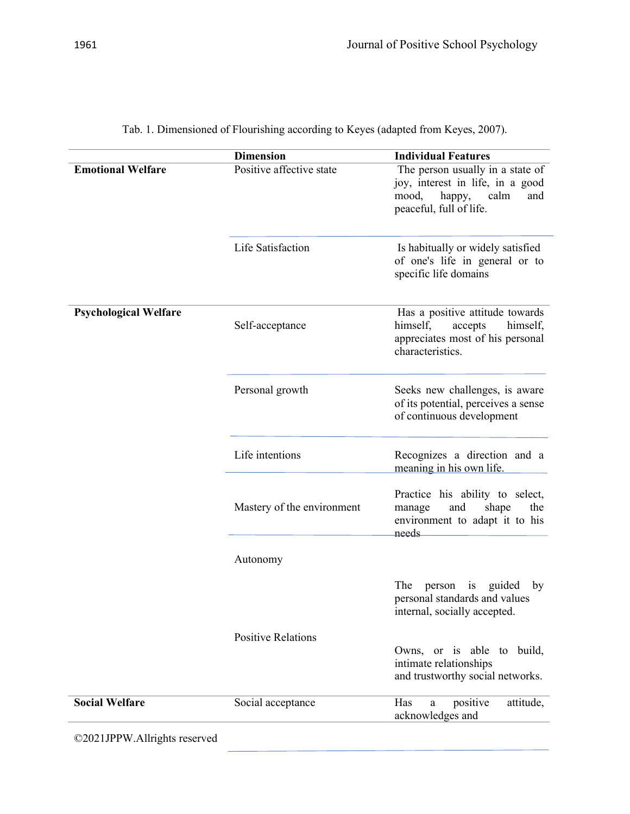|                              | <b>Dimension</b>           | <b>Individual Features</b>                                                                                                        |
|------------------------------|----------------------------|-----------------------------------------------------------------------------------------------------------------------------------|
| <b>Emotional Welfare</b>     | Positive affective state   | The person usually in a state of<br>joy, interest in life, in a good<br>happy,<br>mood,<br>calm<br>and<br>peaceful, full of life. |
|                              | Life Satisfaction          | Is habitually or widely satisfied<br>of one's life in general or to<br>specific life domains                                      |
| <b>Psychological Welfare</b> | Self-acceptance            | Has a positive attitude towards<br>himself,<br>accepts<br>himself,<br>appreciates most of his personal<br>characteristics.        |
|                              | Personal growth            | Seeks new challenges, is aware<br>of its potential, perceives a sense<br>of continuous development                                |
|                              | Life intentions            | Recognizes a direction and a<br>meaning in his own life.                                                                          |
|                              | Mastery of the environment | Practice his ability to select,<br>and<br>shape<br>the<br>manage<br>environment to adapt it to his<br>needs                       |
|                              | Autonomy                   |                                                                                                                                   |
|                              |                            | The<br>guided by<br>person is<br>personal standards and values<br>internal, socially accepted.                                    |
|                              | <b>Positive Relations</b>  | Owns, or is able to build,<br>intimate relationships<br>and trustworthy social networks.                                          |
| <b>Social Welfare</b>        | Social acceptance          | positive<br>Has<br>attitude,<br>a<br>acknowledges and                                                                             |
| ©2021JPPW.Allrights reserved |                            |                                                                                                                                   |

Tab. 1. Dimensioned of Flourishing according to Keyes (adapted from Keyes, 2007).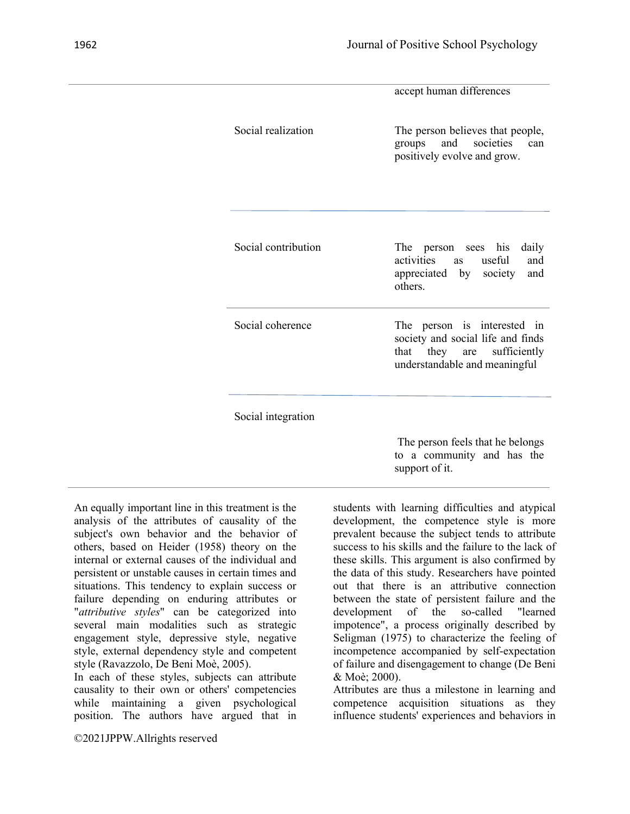|                     | accept human differences                                                                                                        |
|---------------------|---------------------------------------------------------------------------------------------------------------------------------|
| Social realization  | The person believes that people,<br>and societies<br>groups<br>can<br>positively evolve and grow.                               |
| Social contribution | The person sees his<br>daily<br>and<br>activities as useful<br>appreciated by society<br>and<br>others.                         |
| Social coherence    | The person is interested in<br>society and social life and finds<br>that they are sufficiently<br>understandable and meaningful |
| Social integration  |                                                                                                                                 |
|                     | The person feels that he belongs<br>to a community and has the<br>support of it.                                                |

An equally important line in this treatment is the analysis of the attributes of causality of the subject's own behavior and the behavior of others, based on Heider (1958) theory on the internal or external causes of the individual and persistent or unstable causes in certain times and situations. This tendency to explain success or failure depending on enduring attributes or "*attributive styles*" can be categorized into several main modalities such as strategic engagement style, depressive style, negative style, external dependency style and competent style (Ravazzolo, De Beni Moè, 2005).

In each of these styles, subjects can attribute causality to their own or others' competencies while maintaining a given psychological position. The authors have argued that in

©2021JPPW.Allrights reserved

students with learning difficulties and atypical development, the competence style is more prevalent because the subject tends to attribute success to his skills and the failure to the lack of these skills. This argument is also confirmed by the data of this study. Researchers have pointed out that there is an attributive connection between the state of persistent failure and the development of the so-called "learned impotence", a process originally described by Seligman (1975) to characterize the feeling of incompetence accompanied by self-expectation of failure and disengagement to change (De Beni & Moè; 2000).

Attributes are thus a milestone in learning and competence acquisition situations as they influence students' experiences and behaviors in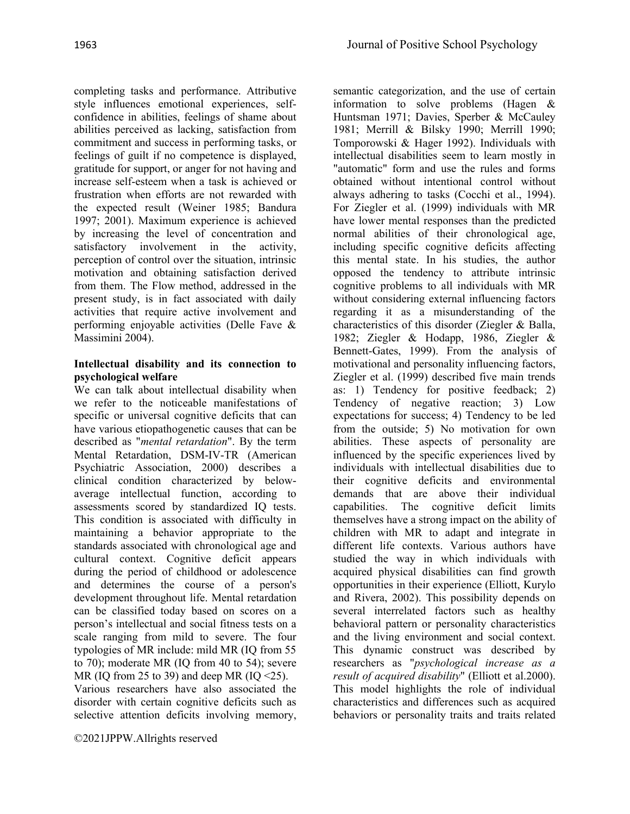completing tasks and performance. Attributive style influences emotional experiences, selfconfidence in abilities, feelings of shame about abilities perceived as lacking, satisfaction from commitment and success in performing tasks, or feelings of guilt if no competence is displayed, gratitude for support, or anger for not having and increase self-esteem when a task is achieved or frustration when efforts are not rewarded with the expected result (Weiner 1985; Bandura 1997; 2001). Maximum experience is achieved by increasing the level of concentration and satisfactory involvement in the activity, perception of control over the situation, intrinsic motivation and obtaining satisfaction derived from them. The Flow method, addressed in the present study, is in fact associated with daily activities that require active involvement and performing enjoyable activities (Delle Fave & Massimini 2004).

# **Intellectual disability and its connection to psychological welfare**

We can talk about intellectual disability when we refer to the noticeable manifestations of specific or universal cognitive deficits that can have various etiopathogenetic causes that can be described as "*mental retardation*". By the term Mental Retardation, DSM-IV-TR (American Psychiatric Association, 2000) describes a clinical condition characterized by belowaverage intellectual function, according to assessments scored by standardized IQ tests. This condition is associated with difficulty in maintaining a behavior appropriate to the standards associated with chronological age and cultural context. Cognitive deficit appears during the period of childhood or adolescence and determines the course of a person's development throughout life. Mental retardation can be classified today based on scores on a person's intellectual and social fitness tests on a scale ranging from mild to severe. The four typologies of MR include: mild MR (IQ from 55 to 70); moderate MR (IQ from 40 to 54); severe MR (IO from 25 to 39) and deep MR (IO  $\leq$ 25).

Various researchers have also associated the disorder with certain cognitive deficits such as selective attention deficits involving memory,

semantic categorization, and the use of certain information to solve problems (Hagen & Huntsman 1971; Davies, Sperber & McCauley 1981; Merrill & Bilsky 1990; Merrill 1990; Tomporowski & Hager 1992). Individuals with intellectual disabilities seem to learn mostly in "automatic" form and use the rules and forms obtained without intentional control without always adhering to tasks (Cocchi et al., 1994). For Ziegler et al. (1999) individuals with MR have lower mental responses than the predicted normal abilities of their chronological age, including specific cognitive deficits affecting this mental state. In his studies, the author opposed the tendency to attribute intrinsic cognitive problems to all individuals with MR without considering external influencing factors regarding it as a misunderstanding of the characteristics of this disorder (Ziegler & Balla, 1982; Ziegler & Hodapp, 1986, Ziegler & Bennett-Gates, 1999). From the analysis of motivational and personality influencing factors, Ziegler et al. (1999) described five main trends as: 1) Tendency for positive feedback; 2) Tendency of negative reaction; 3) Low expectations for success; 4) Tendency to be led from the outside; 5) No motivation for own abilities. These aspects of personality are influenced by the specific experiences lived by individuals with intellectual disabilities due to their cognitive deficits and environmental demands that are above their individual capabilities. The cognitive deficit limits themselves have a strong impact on the ability of children with MR to adapt and integrate in different life contexts. Various authors have studied the way in which individuals with acquired physical disabilities can find growth opportunities in their experience (Elliott, Kurylo and Rivera, 2002). This possibility depends on several interrelated factors such as healthy behavioral pattern or personality characteristics and the living environment and social context. This dynamic construct was described by researchers as "*psychological increase as a result of acquired disability*" (Elliott et al.2000). This model highlights the role of individual characteristics and differences such as acquired behaviors or personality traits and traits related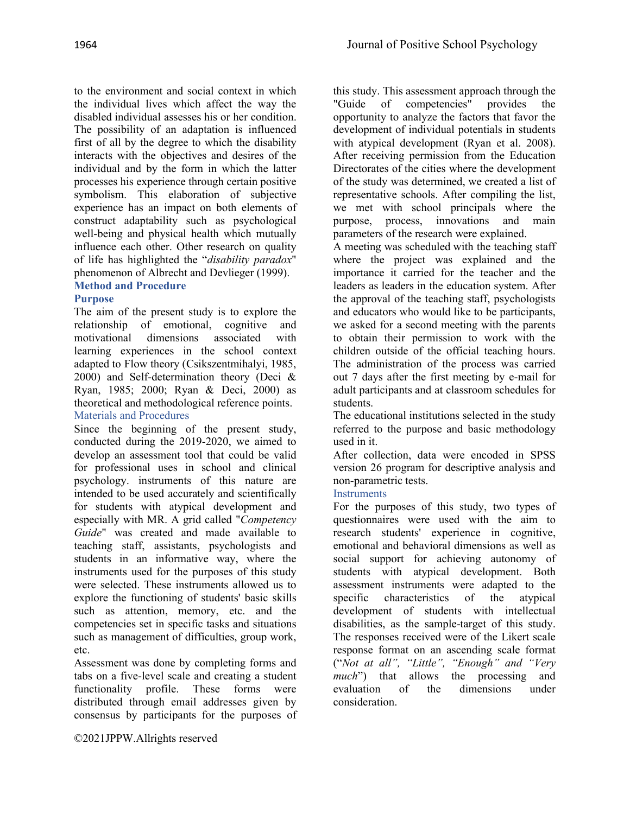to the environment and social context in which the individual lives which affect the way the disabled individual assesses his or her condition. The possibility of an adaptation is influenced first of all by the degree to which the disability interacts with the objectives and desires of the individual and by the form in which the latter processes his experience through certain positive symbolism. This elaboration of subjective experience has an impact on both elements of construct adaptability such as psychological well-being and physical health which mutually influence each other. Other research on quality of life has highlighted the "*disability paradox*" phenomenon of Albrecht and Devlieger (1999). **Method and Procedure**

# **Purpose**

The aim of the present study is to explore the relationship of emotional, cognitive and motivational dimensions associated with learning experiences in the school context adapted to Flow theory (Csikszentmihalyi, 1985, 2000) and Self-determination theory (Deci & Ryan, 1985; 2000; Ryan & Deci, 2000) as theoretical and methodological reference points. Materials and Procedures

Since the beginning of the present study, conducted during the 2019-2020, we aimed to develop an assessment tool that could be valid for professional uses in school and clinical psychology. instruments of this nature are intended to be used accurately and scientifically for students with atypical development and especially with MR. A grid called "*Competency Guide*" was created and made available to teaching staff, assistants, psychologists and students in an informative way, where the instruments used for the purposes of this study were selected. These instruments allowed us to explore the functioning of students' basic skills such as attention, memory, etc. and the competencies set in specific tasks and situations such as management of difficulties, group work, etc.

Assessment was done by completing forms and tabs on a five-level scale and creating a student functionality profile. These forms were distributed through email addresses given by consensus by participants for the purposes of

©2021JPPW.Allrights reserved

this study. This assessment approach through the "Guide of competencies" provides the "Guide of competencies" provides the opportunity to analyze the factors that favor the development of individual potentials in students with atypical development (Ryan et al. 2008). After receiving permission from the Education Directorates of the cities where the development of the study was determined, we created a list of representative schools. After compiling the list, we met with school principals where the purpose, process, innovations and main parameters of the research were explained.

A meeting was scheduled with the teaching staff where the project was explained and the importance it carried for the teacher and the leaders as leaders in the education system. After the approval of the teaching staff, psychologists and educators who would like to be participants, we asked for a second meeting with the parents to obtain their permission to work with the children outside of the official teaching hours. The administration of the process was carried out 7 days after the first meeting by e-mail for adult participants and at classroom schedules for students.

The educational institutions selected in the study referred to the purpose and basic methodology used in it.

After collection, data were encoded in SPSS version 26 program for descriptive analysis and non-parametric tests.

#### **Instruments**

For the purposes of this study, two types of questionnaires were used with the aim to research students' experience in cognitive, emotional and behavioral dimensions as well as social support for achieving autonomy of students with atypical development. Both assessment instruments were adapted to the specific characteristics of the atypical development of students with intellectual disabilities, as the sample-target of this study. The responses received were of the Likert scale response format on an ascending scale format ("*Not at all", "Little", "Enough" and "Very much*") that allows the processing and evaluation of the dimensions under consideration.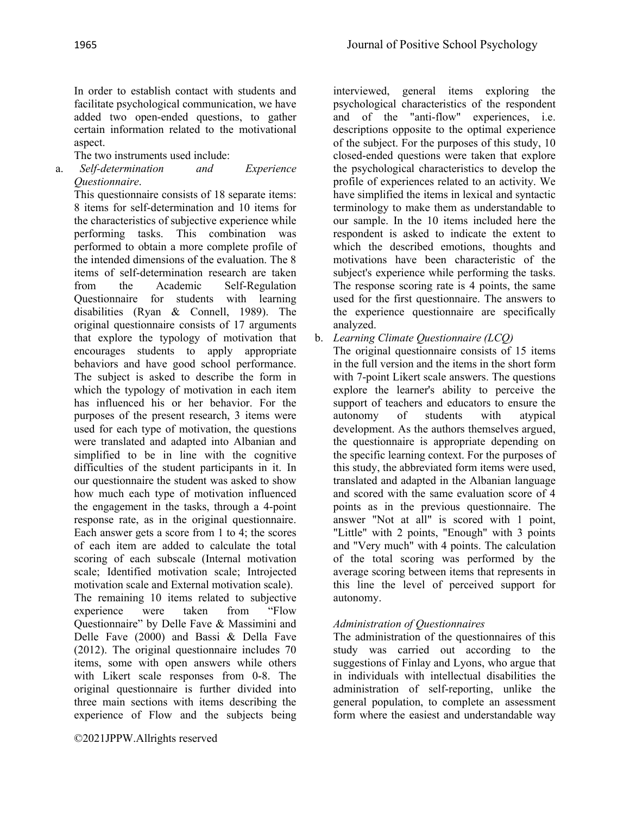In order to establish contact with students and facilitate psychological communication, we have added two open-ended questions, to gather certain information related to the motivational aspect.

The two instruments used include:

a. *Self-determination and Experience Questionnaire*.

This questionnaire consists of 18 separate items: 8 items for self-determination and 10 items for the characteristics of subjective experience while performing tasks. This combination was performed to obtain a more complete profile of the intended dimensions of the evaluation. The 8 items of self-determination research are taken from the Academic Self-Regulation Questionnaire for students with learning disabilities (Ryan & Connell, 1989). The original questionnaire consists of 17 arguments that explore the typology of motivation that encourages students to apply appropriate behaviors and have good school performance. The subject is asked to describe the form in which the typology of motivation in each item has influenced his or her behavior. For the purposes of the present research, 3 items were used for each type of motivation, the questions were translated and adapted into Albanian and simplified to be in line with the cognitive difficulties of the student participants in it. In our questionnaire the student was asked to show how much each type of motivation influenced the engagement in the tasks, through a 4-point response rate, as in the original questionnaire. Each answer gets a score from 1 to 4; the scores of each item are added to calculate the total scoring of each subscale (Internal motivation scale; Identified motivation scale; Introjected motivation scale and External motivation scale).

The remaining 10 items related to subjective experience were taken from "Flow Questionnaire" by Delle Fave & Massimini and Delle Fave (2000) and Bassi & Della Fave (2012). The original questionnaire includes 70 items, some with open answers while others with Likert scale responses from 0-8. The original questionnaire is further divided into three main sections with items describing the experience of Flow and the subjects being

©2021JPPW.Allrights reserved

interviewed, general items exploring the psychological characteristics of the respondent and of the "anti-flow" experiences, i.e. descriptions opposite to the optimal experience of the subject. For the purposes of this study, 10 closed-ended questions were taken that explore the psychological characteristics to develop the profile of experiences related to an activity. We have simplified the items in lexical and syntactic terminology to make them as understandable to our sample. In the 10 items included here the respondent is asked to indicate the extent to which the described emotions, thoughts and motivations have been characteristic of the subject's experience while performing the tasks. The response scoring rate is 4 points, the same used for the first questionnaire. The answers to the experience questionnaire are specifically analyzed.

b. *Learning Climate Questionnaire (LCQ)*

The original questionnaire consists of 15 items in the full version and the items in the short form with 7-point Likert scale answers. The questions explore the learner's ability to perceive the support of teachers and educators to ensure the autonomy of students with atypical development. As the authors themselves argued, the questionnaire is appropriate depending on the specific learning context. For the purposes of this study, the abbreviated form items were used, translated and adapted in the Albanian language and scored with the same evaluation score of 4 points as in the previous questionnaire. The answer "Not at all" is scored with 1 point, "Little" with 2 points, "Enough" with 3 points and "Very much" with 4 points. The calculation of the total scoring was performed by the average scoring between items that represents in this line the level of perceived support for autonomy.

# *Administration of Questionnaires*

The administration of the questionnaires of this study was carried out according to the suggestions of Finlay and Lyons, who argue that in individuals with intellectual disabilities the administration of self-reporting, unlike the general population, to complete an assessment form where the easiest and understandable way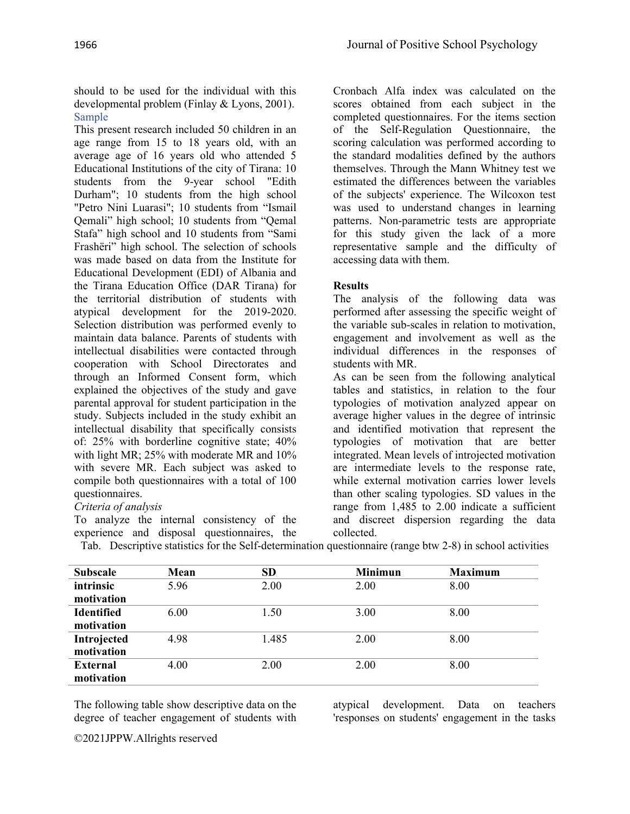should to be used for the individual with this developmental problem (Finlay & Lyons, 2001). Sample

This present research included 50 children in an age range from 15 to 18 years old, with an average age of 16 years old who attended 5 Educational Institutions of the city of Tirana: 10 students from the 9-year school "Edith Durham"; 10 students from the high school "Petro Nini Luarasi"; 10 students from "Ismail Qemali" high school; 10 students from "Qemal Stafa" high school and 10 students from "Sami Frashëri" high school. The selection of schools was made based on data from the Institute for Educational Development (EDI) of Albania and the Tirana Education Office (DAR Tirana) for the territorial distribution of students with atypical development for the 2019-2020. Selection distribution was performed evenly to maintain data balance. Parents of students with intellectual disabilities were contacted through cooperation with School Directorates and through an Informed Consent form, which explained the objectives of the study and gave parental approval for student participation in the study. Subjects included in the study exhibit an intellectual disability that specifically consists of: 25% with borderline cognitive state; 40% with light MR; 25% with moderate MR and 10% with severe MR. Each subject was asked to compile both questionnaires with a total of 100 questionnaires.

# *Criteria of analysis*

To analyze the internal consistency of the experience and disposal questionnaires, the Tab. Descriptive statistics for the Self-determination questionnaire (range btw 2-8) in school activities

Cronbach Alfa index was calculated on the scores obtained from each subject in the completed questionnaires. For the items section of the Self-Regulation Questionnaire, the scoring calculation was performed according to the standard modalities defined by the authors themselves. Through the Mann Whitney test we estimated the differences between the variables of the subjects' experience. The Wilcoxon test was used to understand changes in learning patterns. Non-parametric tests are appropriate for this study given the lack of a more representative sample and the difficulty of accessing data with them.

# **Results**

The analysis of the following data was performed after assessing the specific weight of the variable sub-scales in relation to motivation, engagement and involvement as well as the individual differences in the responses of students with MR.

As can be seen from the following analytical tables and statistics, in relation to the four typologies of motivation analyzed appear on average higher values in the degree of intrinsic and identified motivation that represent the typologies of motivation that are better integrated. Mean levels of introjected motivation are intermediate levels to the response rate, while external motivation carries lower levels than other scaling typologies. SD values in the range from 1,485 to 2.00 indicate a sufficient and discreet dispersion regarding the data collected.

| . |  | $- - - -$ |                                                                                                                      |
|---|--|-----------|----------------------------------------------------------------------------------------------------------------------|
|   |  |           |                                                                                                                      |
|   |  |           | $\mu$ rad. Descriptive statistics for the Self-determination questionnaire (range of $\mu$ 2-8) in school activities |

| <b>Subscale</b>   | Mean | <b>SD</b> | <b>Minimun</b> | <b>Maximum</b> |
|-------------------|------|-----------|----------------|----------------|
| intrinsic         | 5.96 | 2.00      | 2.00           | 8.00           |
| motivation        |      |           |                |                |
| <b>Identified</b> | 6.00 | 1.50      | 3.00           | 8.00           |
| motivation        |      |           |                |                |
| Introjected       | 4.98 | 1.485     | 2.00           | 8.00           |
| motivation        |      |           |                |                |
| <b>External</b>   | 4.00 | 2.00      | 2.00           | 8.00           |
| motivation        |      |           |                |                |

The following table show descriptive data on the degree of teacher engagement of students with

atypical development. Data on teachers 'responses on students' engagement in the tasks

©2021JPPW.Allrights reserved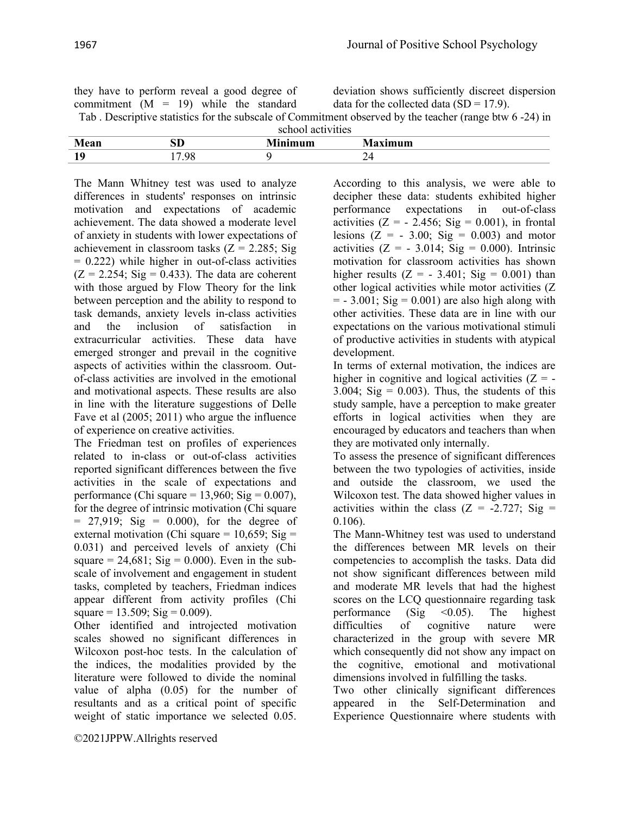| they have to perform reveal a good degree of                                                            | deviation shows sufficiently discreet dispersion |
|---------------------------------------------------------------------------------------------------------|--------------------------------------------------|
| commitment $(M = 19)$ while the standard                                                                | data for the collected data (SD = $17.9$ ).      |
| Tab. Descriptive statistics for the subscale of Commitment observed by the teacher (range btw 6 -24) in |                                                  |
| school activities                                                                                       |                                                  |

|         |          | <b>SVIIVOI AUGUVILLO</b>                  |        |
|---------|----------|-------------------------------------------|--------|
| Mean    | эv       | $\overline{\phantom{a}}$<br><b>INIMUM</b> | axımum |
| 10<br>ᅸ | $\Omega$ |                                           | ∠⊣     |

The Mann Whitney test was used to analyze differences in students' responses on intrinsic motivation and expectations of academic achievement. The data showed a moderate level of anxiety in students with lower expectations of achievement in classroom tasks  $(Z = 2.285; Sig)$  $= 0.222$ ) while higher in out-of-class activities  $(Z = 2.254; Sig = 0.433)$ . The data are coherent with those argued by Flow Theory for the link between perception and the ability to respond to task demands, anxiety levels in-class activities and the inclusion of satisfaction in extracurricular activities. These data have emerged stronger and prevail in the cognitive aspects of activities within the classroom. Outof-class activities are involved in the emotional and motivational aspects. These results are also in line with the literature suggestions of Delle Fave et al (2005; 2011) who argue the influence of experience on creative activities.

The Friedman test on profiles of experiences related to in-class or out-of-class activities reported significant differences between the five activities in the scale of expectations and performance (Chi square =  $13,960$ ; Sig =  $0.007$ ), for the degree of intrinsic motivation (Chi square  $= 27,919$ ; Sig  $= 0.000$ ), for the degree of external motivation (Chi square =  $10,659$ ; Sig = 0.031) and perceived levels of anxiety (Chi square = 24,681; Sig = 0.000). Even in the subscale of involvement and engagement in student tasks, completed by teachers, Friedman indices appear different from activity profiles (Chi square =  $13.509$ ; Sig = 0.009).

Other identified and introjected motivation scales showed no significant differences in Wilcoxon post-hoc tests. In the calculation of the indices, the modalities provided by the literature were followed to divide the nominal value of alpha (0.05) for the number of resultants and as a critical point of specific weight of static importance we selected 0.05.

©2021JPPW.Allrights reserved

According to this analysis, we were able to decipher these data: students exhibited higher performance expectations in out-of-class activities  $(Z = -2.456; Sig = 0.001)$ , in frontal lesions  $(Z = -3.00; Sig = 0.003)$  and motor activities  $(Z = -3.014; Sig = 0.000)$ . Intrinsic motivation for classroom activities has shown higher results  $(Z = -3.401; Sig = 0.001)$  than other logical activities while motor activities (Z  $=$  - 3.001; Sig  $= 0.001$ ) are also high along with other activities. These data are in line with our expectations on the various motivational stimuli of productive activities in students with atypical development.

In terms of external motivation, the indices are higher in cognitive and logical activities  $(Z = -$ 3.004;  $Sig = 0.003$ ). Thus, the students of this study sample, have a perception to make greater efforts in logical activities when they are encouraged by educators and teachers than when they are motivated only internally.

To assess the presence of significant differences between the two typologies of activities, inside and outside the classroom, we used the Wilcoxon test. The data showed higher values in activities within the class  $(Z = -2.727; Sig =$ 0.106).

The Mann-Whitney test was used to understand the differences between MR levels on their competencies to accomplish the tasks. Data did not show significant differences between mild and moderate MR levels that had the highest scores on the LCQ questionnaire regarding task performance (Sig  $\leq 0.05$ ). The highest difficulties of cognitive nature were characterized in the group with severe MR which consequently did not show any impact on the cognitive, emotional and motivational dimensions involved in fulfilling the tasks.

Two other clinically significant differences appeared in the Self-Determination and Experience Questionnaire where students with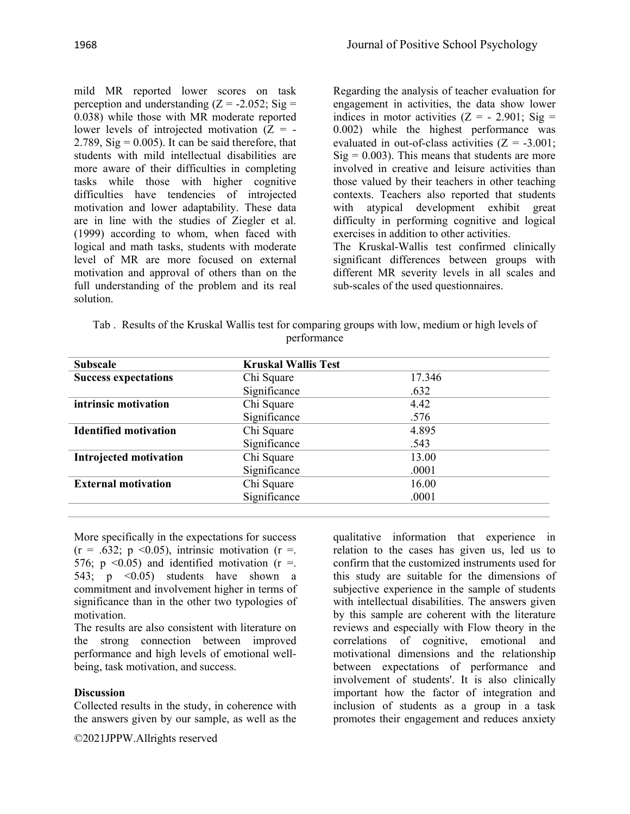mild MR reported lower scores on task perception and understanding  $(Z = -2.052; Sig =$ 0.038) while those with MR moderate reported lower levels of introjected motivation  $(Z = -$ 2.789,  $\text{Sig} = 0.005$ ). It can be said therefore, that students with mild intellectual disabilities are more aware of their difficulties in completing tasks while those with higher cognitive difficulties have tendencies of introjected motivation and lower adaptability. These data are in line with the studies of Ziegler et al. (1999) according to whom, when faced with logical and math tasks, students with moderate level of MR are more focused on external motivation and approval of others than on the full understanding of the problem and its real solution.

Regarding the analysis of teacher evaluation for engagement in activities, the data show lower indices in motor activities  $(Z = -2.901; Sig =$ 0.002) while the highest performance was evaluated in out-of-class activities  $(Z = -3.001)$ ;  $Sig = 0.003$ ). This means that students are more involved in creative and leisure activities than those valued by their teachers in other teaching contexts. Teachers also reported that students with atypical development exhibit great difficulty in performing cognitive and logical exercises in addition to other activities.

The Kruskal-Wallis test confirmed clinically significant differences between groups with different MR severity levels in all scales and sub-scales of the used questionnaires.

| Tab. Results of the Kruskal Wallis test for comparing groups with low, medium or high levels of |             |  |  |
|-------------------------------------------------------------------------------------------------|-------------|--|--|
|                                                                                                 | performance |  |  |

| <b>Subscale</b>              | <b>Kruskal Wallis Test</b> |        |  |
|------------------------------|----------------------------|--------|--|
| <b>Success expectations</b>  | Chi Square                 | 17.346 |  |
|                              | Significance               | .632   |  |
| intrinsic motivation         | Chi Square                 | 4.42   |  |
|                              | Significance               | .576   |  |
| <b>Identified motivation</b> | Chi Square                 | 4.895  |  |
|                              | Significance               | .543   |  |
| Introjected motivation       | Chi Square                 | 13.00  |  |
|                              | Significance               | .0001  |  |
| <b>External motivation</b>   | Chi Square                 | 16.00  |  |
|                              | Significance               | .0001  |  |

More specifically in the expectations for success  $(r = .632; p < 0.05)$ , intrinsic motivation  $(r = .$ 576; p  $\leq 0.05$ ) and identified motivation (r =. 543;  $p \leq 0.05$ ) students have shown a commitment and involvement higher in terms of significance than in the other two typologies of motivation.

The results are also consistent with literature on the strong connection between improved performance and high levels of emotional wellbeing, task motivation, and success.

#### **Discussion**

Collected results in the study, in coherence with the answers given by our sample, as well as the

©2021JPPW.Allrights reserved

qualitative information that experience in relation to the cases has given us, led us to confirm that the customized instruments used for this study are suitable for the dimensions of subjective experience in the sample of students with intellectual disabilities. The answers given by this sample are coherent with the literature reviews and especially with Flow theory in the correlations of cognitive, emotional and motivational dimensions and the relationship between expectations of performance and involvement of students'. It is also clinically important how the factor of integration and inclusion of students as a group in a task promotes their engagement and reduces anxiety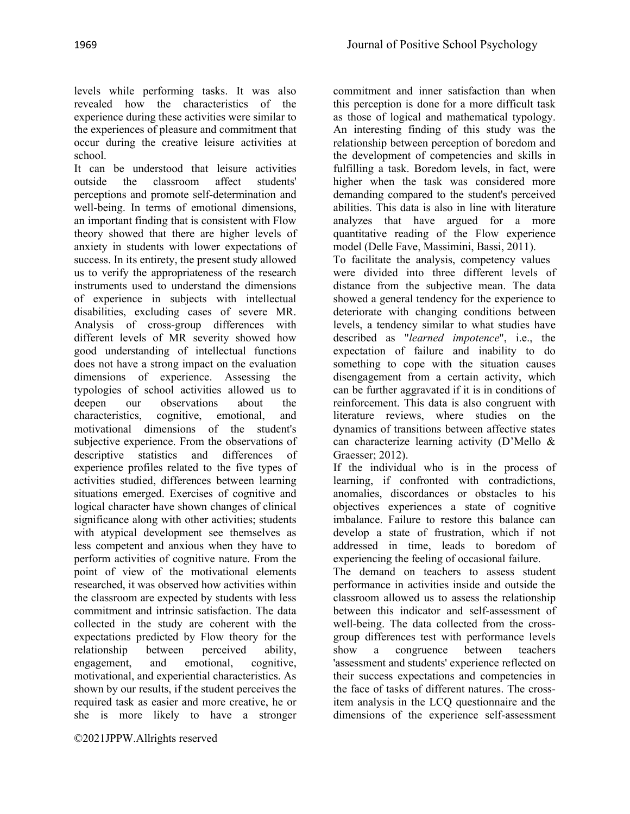levels while performing tasks. It was also revealed how the characteristics of the experience during these activities were similar to the experiences of pleasure and commitment that occur during the creative leisure activities at school.

It can be understood that leisure activities outside the classroom affect students' perceptions and promote self-determination and well-being. In terms of emotional dimensions, an important finding that is consistent with Flow theory showed that there are higher levels of anxiety in students with lower expectations of success. In its entirety, the present study allowed us to verify the appropriateness of the research instruments used to understand the dimensions of experience in subjects with intellectual disabilities, excluding cases of severe MR. Analysis of cross-group differences with different levels of MR severity showed how good understanding of intellectual functions does not have a strong impact on the evaluation dimensions of experience. Assessing the typologies of school activities allowed us to deepen our observations about the characteristics, cognitive, emotional, and motivational dimensions of the student's subjective experience. From the observations of descriptive statistics and differences of experience profiles related to the five types of activities studied, differences between learning situations emerged. Exercises of cognitive and logical character have shown changes of clinical significance along with other activities; students with atypical development see themselves as less competent and anxious when they have to perform activities of cognitive nature. From the point of view of the motivational elements researched, it was observed how activities within the classroom are expected by students with less commitment and intrinsic satisfaction. The data collected in the study are coherent with the expectations predicted by Flow theory for the relationship between perceived ability, engagement, and emotional, cognitive, motivational, and experiential characteristics. As shown by our results, if the student perceives the required task as easier and more creative, he or she is more likely to have a stronger

©2021JPPW.Allrights reserved

commitment and inner satisfaction than when this perception is done for a more difficult task as those of logical and mathematical typology. An interesting finding of this study was the relationship between perception of boredom and the development of competencies and skills in fulfilling a task. Boredom levels, in fact, were higher when the task was considered more demanding compared to the student's perceived abilities. This data is also in line with literature analyzes that have argued for a more quantitative reading of the Flow experience model (Delle Fave, Massimini, Bassi, 2011).

To facilitate the analysis, competency values were divided into three different levels of distance from the subjective mean. The data showed a general tendency for the experience to deteriorate with changing conditions between levels, a tendency similar to what studies have described as "*learned impotence*", i.e., the expectation of failure and inability to do something to cope with the situation causes disengagement from a certain activity, which can be further aggravated if it is in conditions of reinforcement. This data is also congruent with literature reviews, where studies on the dynamics of transitions between affective states can characterize learning activity (D'Mello & Graesser; 2012).

If the individual who is in the process of learning, if confronted with contradictions, anomalies, discordances or obstacles to his objectives experiences a state of cognitive imbalance. Failure to restore this balance can develop a state of frustration, which if not addressed in time, leads to boredom of experiencing the feeling of occasional failure.

The demand on teachers to assess student performance in activities inside and outside the classroom allowed us to assess the relationship between this indicator and self-assessment of well-being. The data collected from the crossgroup differences test with performance levels show a congruence between teachers 'assessment and students' experience reflected on their success expectations and competencies in the face of tasks of different natures. The crossitem analysis in the LCQ questionnaire and the dimensions of the experience self-assessment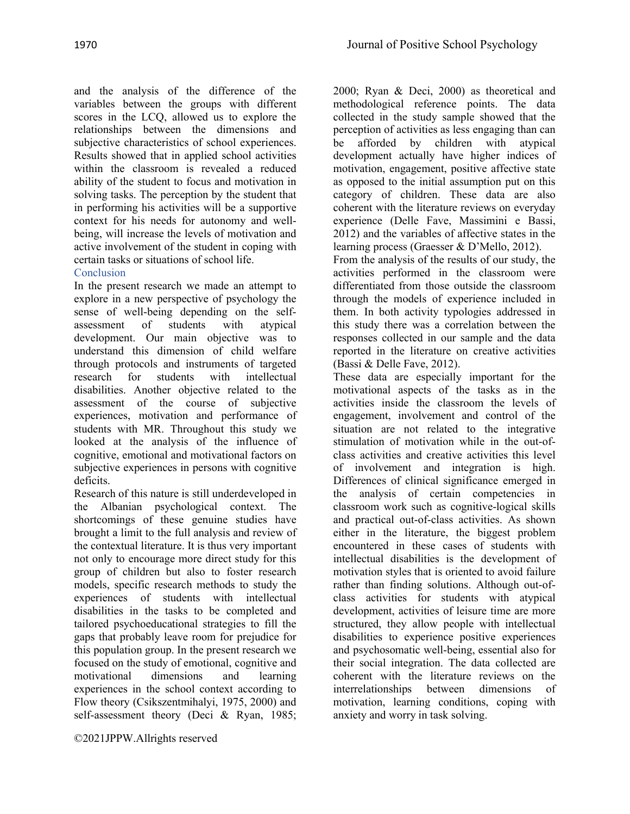and the analysis of the difference of the variables between the groups with different scores in the LCQ, allowed us to explore the relationships between the dimensions and subjective characteristics of school experiences. Results showed that in applied school activities within the classroom is revealed a reduced ability of the student to focus and motivation in solving tasks. The perception by the student that in performing his activities will be a supportive context for his needs for autonomy and wellbeing, will increase the levels of motivation and active involvement of the student in coping with certain tasks or situations of school life.

# Conclusion

In the present research we made an attempt to explore in a new perspective of psychology the sense of well-being depending on the selfassessment of students with atypical development. Our main objective was to understand this dimension of child welfare through protocols and instruments of targeted research for students with intellectual disabilities. Another objective related to the assessment of the course of subjective experiences, motivation and performance of students with MR. Throughout this study we looked at the analysis of the influence of cognitive, emotional and motivational factors on subjective experiences in persons with cognitive deficits.

Research of this nature is still underdeveloped in the Albanian psychological context. The shortcomings of these genuine studies have brought a limit to the full analysis and review of the contextual literature. It is thus very important not only to encourage more direct study for this group of children but also to foster research models, specific research methods to study the experiences of students with intellectual disabilities in the tasks to be completed and tailored psychoeducational strategies to fill the gaps that probably leave room for prejudice for this population group. In the present research we focused on the study of emotional, cognitive and motivational dimensions and learning experiences in the school context according to Flow theory (Csikszentmihalyi, 1975, 2000) and self-assessment theory (Deci & Ryan, 1985;

2000; Ryan & Deci, 2000) as theoretical and methodological reference points. The data collected in the study sample showed that the perception of activities as less engaging than can be afforded by children with atypical development actually have higher indices of motivation, engagement, positive affective state as opposed to the initial assumption put on this category of children. These data are also coherent with the literature reviews on everyday experience (Delle Fave, Massimini e Bassi, 2012) and the variables of affective states in the learning process (Graesser & D'Mello, 2012).

From the analysis of the results of our study, the activities performed in the classroom were differentiated from those outside the classroom through the models of experience included in them. In both activity typologies addressed in this study there was a correlation between the responses collected in our sample and the data reported in the literature on creative activities (Bassi & Delle Fave, 2012).

These data are especially important for the motivational aspects of the tasks as in the activities inside the classroom the levels of engagement, involvement and control of the situation are not related to the integrative stimulation of motivation while in the out-ofclass activities and creative activities this level of involvement and integration is high. Differences of clinical significance emerged in the analysis of certain competencies in classroom work such as cognitive-logical skills and practical out-of-class activities. As shown either in the literature, the biggest problem encountered in these cases of students with intellectual disabilities is the development of motivation styles that is oriented to avoid failure rather than finding solutions. Although out-ofclass activities for students with atypical development, activities of leisure time are more structured, they allow people with intellectual disabilities to experience positive experiences and psychosomatic well-being, essential also for their social integration. The data collected are coherent with the literature reviews on the interrelationships between dimensions of motivation, learning conditions, coping with anxiety and worry in task solving.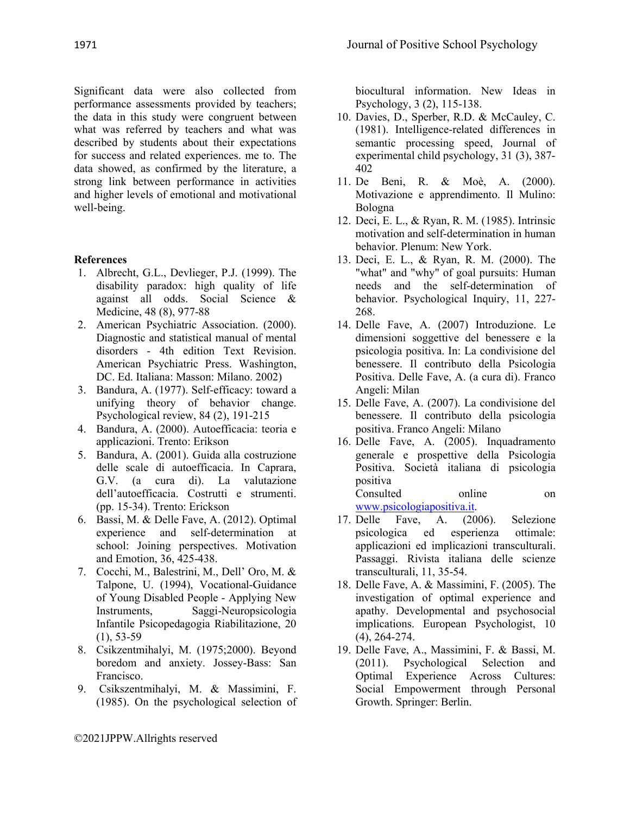Significant data were also collected from performance assessments provided by teachers; the data in this study were congruent between what was referred by teachers and what was described by students about their expectations for success and related experiences. me to. The data showed, as confirmed by the literature, a strong link between performance in activities and higher levels of emotional and motivational well-being.

#### **References**

- 1. Albrecht, G.L., Devlieger, P.J. (1999). The disability paradox: high quality of life against all odds. Social Science & Medicine, 48 (8), 977-88
- 2. American Psychiatric Association. (2000). Diagnostic and statistical manual of mental disorders - 4th edition Text Revision. American Psychiatric Press. Washington, DC. Ed. Italiana: Masson: Milano. 2002)
- 3. Bandura, A. (1977). Self-efficacy: toward a unifying theory of behavior change. Psychological review, 84 (2), 191-215
- 4. Bandura, A. (2000). Autoefficacia: teoria e applicazioni. Trento: Erikson
- 5. Bandura, A. (2001). Guida alla costruzione delle scale di autoefficacia. In Caprara, G.V. (a cura di). La valutazione dell'autoefficacia. Costrutti e strumenti. (pp. 15-34). Trento: Erickson
- 6. Bassi, M. & Delle Fave, A. (2012). Optimal experience and self-determination at school: Joining perspectives. Motivation and Emotion, 36, 425-438.
- 7. Cocchi, M., Balestrini, M., Dell' Oro, M. & Talpone, U. (1994), Vocational-Guidance of Young Disabled People - Applying New Instruments, Saggi-Neuropsicologia Infantile Psicopedagogia Riabilitazione, 20  $(1), 53-59$
- 8. Csikzentmihalyi, M. (1975;2000). Beyond boredom and anxiety. Jossey-Bass: San Francisco.
- 9. Csikszentmihalyi, M. & Massimini, F. (1985). On the psychological selection of

biocultural information. New Ideas in Psychology, 3 (2), 115-138.

- 10. Davies, D., Sperber, R.D. & McCauley, C. (1981). Intelligence-related differences in semantic processing speed, Journal of experimental child psychology, 31 (3), 387- 402
- 11. De Beni, R. & Moè, A. (2000). Motivazione e apprendimento. Il Mulino: Bologna
- 12. Deci, E. L., & Ryan, R. M. (1985). Intrinsic motivation and self-determination in human behavior. Plenum: New York.
- 13. Deci, E. L., & Ryan, R. M. (2000). The "what" and "why" of goal pursuits: Human needs and the self-determination of behavior. Psychological Inquiry, 11, 227- 268.
- 14. Delle Fave, A. (2007) Introduzione. Le dimensioni soggettive del benessere e la psicologia positiva. In: La condivisione del benessere. Il contributo della Psicologia Positiva. Delle Fave, A. (a cura di). Franco Angeli: Milan
- 15. Delle Fave, A. (2007). La condivisione del benessere. Il contributo della psicologia positiva. Franco Angeli: Milano
- 16. Delle Fave, A. (2005). Inquadramento generale e prospettive della Psicologia Positiva. Società italiana di psicologia positiva Consulted online on

[www.psicologiapositiva.it.](http://www.psicologiapositiva.it/)

- 17. Delle Fave, A. (2006). Selezione psicologica ed esperienza ottimale: applicazioni ed implicazioni transculturali. Passaggi. Rivista italiana delle scienze transculturali, 11, 35-54.
- 18. Delle Fave, A. & Massimini, F. (2005). The investigation of optimal experience and apathy. Developmental and psychosocial implications. European Psychologist, 10 (4), 264-274.
- 19. Delle Fave, A., Massimini, F. & Bassi, M. (2011). Psychological Selection and Optimal Experience Across Cultures: Social Empowerment through Personal Growth. Springer: Berlin.

©2021JPPW.Allrights reserved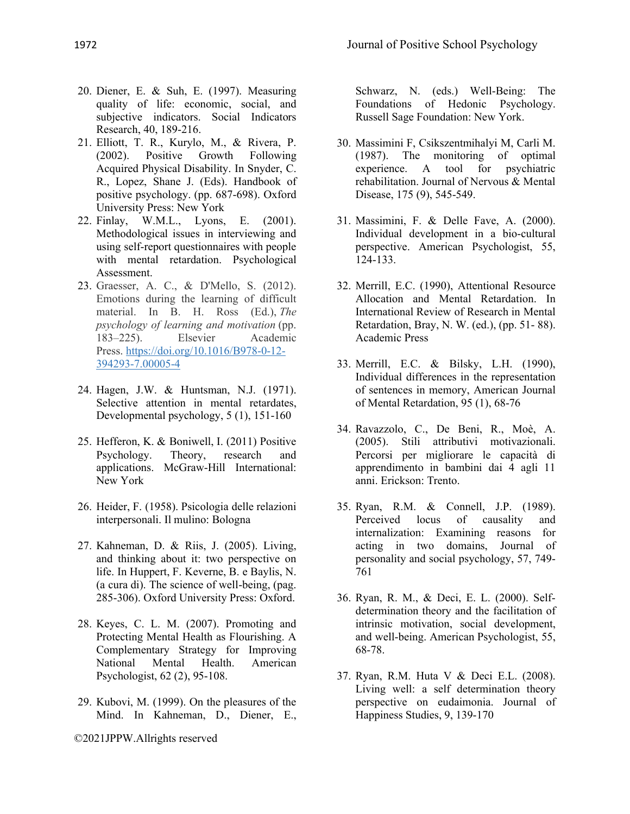- 20. Diener, E. & Suh, E. (1997). Measuring quality of life: economic, social, and subjective indicators. Social Indicators Research, 40, 189-216.
- 21. Elliott, T. R., Kurylo, M., & Rivera, P. (2002). Positive Growth Following Acquired Physical Disability. In Snyder, C. R., Lopez, Shane J. (Eds). Handbook of positive psychology. (pp. 687-698). Oxford University Press: New York
- 22. Finlay, W.M.L., Lyons, E. (2001). Methodological issues in interviewing and using self-report questionnaires with people with mental retardation. Psychological Assessment.
- 23. Graesser, A. C., & D'Mello, S. (2012). Emotions during the learning of difficult material. In B. H. Ross (Ed.), *The psychology of learning and motivation* (pp. 183–225). Elsevier Academic Press. [https://doi.org/10.1016/B978-0-12-](https://psycnet.apa.org/doi/10.1016/B978-0-12-394293-7.00005-4) [394293-7.00005-4](https://psycnet.apa.org/doi/10.1016/B978-0-12-394293-7.00005-4)
- 24. Hagen, J.W. & Huntsman, N.J. (1971). Selective attention in mental retardates, Developmental psychology, 5 (1), 151-160
- 25. Hefferon, K. & Boniwell, I. (2011) Positive Psychology. Theory, research and applications. McGraw-Hill International: New York
- 26. Heider, F. (1958). Psicologia delle relazioni interpersonali. Il mulino: Bologna
- 27. Kahneman, D. & Riis, J. (2005). Living, and thinking about it: two perspective on life. In Huppert, F. Keverne, B. e Baylis, N. (a cura di). The science of well-being, (pag. 285-306). Oxford University Press: Oxford.
- 28. Keyes, C. L. M. (2007). Promoting and Protecting Mental Health as Flourishing. A Complementary Strategy for Improving National Mental Health. American Psychologist, 62 (2), 95-108.
- 29. Kubovi, M. (1999). On the pleasures of the Mind. In Kahneman, D., Diener, E.,

©2021JPPW.Allrights reserved

Schwarz, N. (eds.) Well-Being: The Foundations of Hedonic Psychology. Russell Sage Foundation: New York.

- 30. Massimini F, Csikszentmihalyi M, Carli M. (1987). The monitoring of optimal experience. A tool for psychiatric rehabilitation. Journal of Nervous & Mental Disease, 175 (9), 545-549.
- 31. Massimini, F. & Delle Fave, A. (2000). Individual development in a bio-cultural perspective. American Psychologist, 55, 124-133.
- 32. Merrill, E.C. (1990), Attentional Resource Allocation and Mental Retardation. In International Review of Research in Mental Retardation, Bray, N. W. (ed.), (pp. 51- 88). Academic Press
- 33. Merrill, E.C. & Bilsky, L.H. (1990), Individual differences in the representation of sentences in memory, American Journal of Mental Retardation, 95 (1), 68-76
- 34. Ravazzolo, C., De Beni, R., Moè, A. (2005). Stili attributivi motivazionali. Percorsi per migliorare le capacità di apprendimento in bambini dai 4 agli 11 anni. Erickson: Trento.
- 35. Ryan, R.M. & Connell, J.P. (1989). Perceived locus of causality and internalization: Examining reasons for acting in two domains, Journal of personality and social psychology, 57, 749- 761
- 36. Ryan, R. M., & Deci, E. L. (2000). Selfdetermination theory and the facilitation of intrinsic motivation, social development, and well-being. American Psychologist, 55, 68-78.
- 37. Ryan, R.M. Huta V & Deci E.L. (2008). Living well: a self determination theory perspective on eudaimonia. Journal of Happiness Studies, 9, 139-170